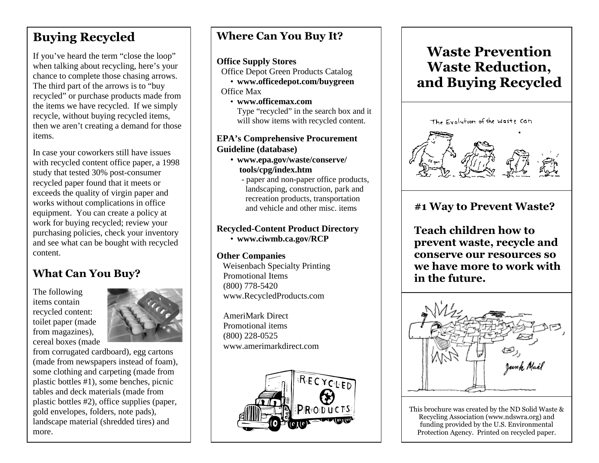## **Buying Recycled**

If you've heard the term "close the loop" when talking about recycling, here's your chance to complete those chasing arrows. The third part of the arrows is to "buy recycled" or purchase products made from the items we have recycled. If we simply recycle, without buying recycled items, then we aren't creating a demand for those items.

In case your coworkers still have issues with recycled content office paper, a 1998 study that tested 30% post-consumer recycled paper found that it meets or exceeds the quality of virgin paper and works without complications in office equipment. You can create a policy at work for buying recycled; review your purchasing policies, check your inventory and see what can be bought with recycled content.

### **What Can You Buy?**

The following items contain recycled content: toilet paper (made from magazines), cereal boxes (made



 from corrugated cardboard), egg cartons (made from newspapers instead of foam), some clothing and carpeting (made from plastic bottles #1), some benches, picnic tables and deck materials (made from plastic bottles #2), office supplies (paper, gold envelopes, folders, note pads), landscape material (shredded tires) and more.

### **Where Can You Buy It?**

#### **Office Supply Stores**

Office Depot Green Products Catalog

 • **www.officedepot.com/buygreen**  Office Max

 • **www.officemax.com** Type "recycled" in the search box and it will show items with recycled content.

#### **EPA's Comprehensive Procurement Guideline (database)**

- **www.epa.gov/waste/conserve/ tools/cpg/index.htm** 
	- paper and non-paper office products, landscaping, construction, park and recreation products, transportation and vehicle and other misc. items

#### **Recycled-Content Product Directory**• **www.ciwmb.ca.gov/RCP**

#### **Other Companies**

 Weisenbach Specialty Printing Promotional Items (800) 778-5420 www.RecycledProducts.com

 AmeriMark Direct Promotional items (800) 228-0525 www.amerimarkdirect.com



# **Waste Prevention Waste Reduction, and Buying Recycled**



### **#1 Way to Prevent Waste?**

**Teach children how to prevent waste, recycle and conserve our resources so we have more to work with in the future.** 



This brochure was created by the ND Solid Waste & Recycling Association (www.ndswra.org) and funding provided by the U.S. Environmental Protection Agency. Printed on recycled paper.